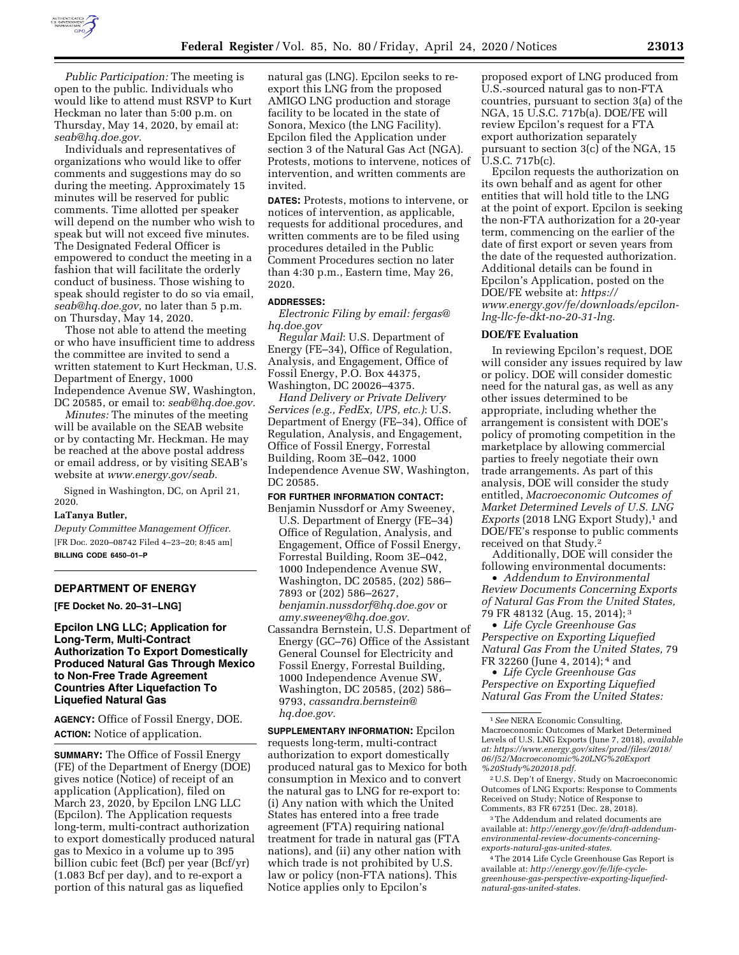

*Public Participation:* The meeting is open to the public. Individuals who would like to attend must RSVP to Kurt Heckman no later than 5:00 p.m. on Thursday, May 14, 2020, by email at: *[seab@hq.doe.gov.](mailto:seab@hq.doe.gov)* 

Individuals and representatives of organizations who would like to offer comments and suggestions may do so during the meeting. Approximately 15 minutes will be reserved for public comments. Time allotted per speaker will depend on the number who wish to speak but will not exceed five minutes. The Designated Federal Officer is empowered to conduct the meeting in a fashion that will facilitate the orderly conduct of business. Those wishing to speak should register to do so via email, *[seab@hq.doe.gov,](mailto:seab@hq.doe.gov)* no later than 5 p.m. on Thursday, May 14, 2020.

Those not able to attend the meeting or who have insufficient time to address the committee are invited to send a written statement to Kurt Heckman, U.S. Department of Energy, 1000 Independence Avenue SW, Washington, DC 20585, or email to: *[seab@hq.doe.gov.](mailto:seab@hq.doe.gov)* 

*Minutes:* The minutes of the meeting will be available on the SEAB website or by contacting Mr. Heckman. He may be reached at the above postal address or email address, or by visiting SEAB's website at *[www.energy.gov/seab.](http://www.energy.gov/seab)* 

Signed in Washington, DC, on April 21, 2020.

# **LaTanya Butler,**

*Deputy Committee Management Officer.*  [FR Doc. 2020–08742 Filed 4–23–20; 8:45 am] **BILLING CODE 6450–01–P** 

# **DEPARTMENT OF ENERGY**

**[FE Docket No. 20–31–LNG]** 

# **Epcilon LNG LLC; Application for Long-Term, Multi-Contract Authorization To Export Domestically Produced Natural Gas Through Mexico to Non-Free Trade Agreement Countries After Liquefaction To Liquefied Natural Gas**

**AGENCY:** Office of Fossil Energy, DOE. **ACTION:** Notice of application.

**SUMMARY:** The Office of Fossil Energy (FE) of the Department of Energy (DOE) gives notice (Notice) of receipt of an application (Application), filed on March 23, 2020, by Epcilon LNG LLC (Epcilon). The Application requests long-term, multi-contract authorization to export domestically produced natural gas to Mexico in a volume up to 395 billion cubic feet (Bcf) per year (Bcf/yr) (1.083 Bcf per day), and to re-export a portion of this natural gas as liquefied

natural gas (LNG). Epcilon seeks to reexport this LNG from the proposed AMIGO LNG production and storage facility to be located in the state of Sonora, Mexico (the LNG Facility). Epcilon filed the Application under section 3 of the Natural Gas Act (NGA). Protests, motions to intervene, notices of intervention, and written comments are invited.

**DATES:** Protests, motions to intervene, or notices of intervention, as applicable, requests for additional procedures, and written comments are to be filed using procedures detailed in the Public Comment Procedures section no later than 4:30 p.m., Eastern time, May 26, 2020.

#### **ADDRESSES:**

*Electronic Filing by email: [fergas@](mailto:fergas@hq.doe.gov) [hq.doe.gov](mailto:fergas@hq.doe.gov)* 

*Regular Mail*: U.S. Department of Energy (FE–34), Office of Regulation, Analysis, and Engagement, Office of Fossil Energy, P.O. Box 44375, Washington, DC 20026–4375.

*Hand Delivery or Private Delivery Services (e.g., FedEx, UPS, etc.)*: U.S. Department of Energy (FE–34), Office of Regulation, Analysis, and Engagement, Office of Fossil Energy, Forrestal Building, Room 3E–042, 1000 Independence Avenue SW, Washington, DC 20585.

#### **FOR FURTHER INFORMATION CONTACT:**

- Benjamin Nussdorf or Amy Sweeney, U.S. Department of Energy (FE–34) Office of Regulation, Analysis, and Engagement, Office of Fossil Energy, Forrestal Building, Room 3E–042, 1000 Independence Avenue SW, Washington, DC 20585, (202) 586– 7893 or (202) 586–2627, *[benjamin.nussdorf@hq.doe.gov](mailto:benjamin.nussdorf@hq.doe.gov)* or *[amy.sweeney@hq.doe.gov.](mailto:amy.sweeney@hq.doe.gov)*
- Cassandra Bernstein, U.S. Department of Energy (GC–76) Office of the Assistant General Counsel for Electricity and Fossil Energy, Forrestal Building, 1000 Independence Avenue SW, Washington, DC 20585, (202) 586– 9793, *[cassandra.bernstein@](mailto:cassandra.bernstein@hq.doe.gov) [hq.doe.gov.](mailto:cassandra.bernstein@hq.doe.gov)*

**SUPPLEMENTARY INFORMATION:** Epcilon requests long-term, multi-contract authorization to export domestically produced natural gas to Mexico for both consumption in Mexico and to convert the natural gas to LNG for re-export to: (i) Any nation with which the United States has entered into a free trade agreement (FTA) requiring national treatment for trade in natural gas (FTA nations), and (ii) any other nation with which trade is not prohibited by U.S. law or policy (non-FTA nations). This Notice applies only to Epcilon's

proposed export of LNG produced from U.S.-sourced natural gas to non-FTA countries, pursuant to section 3(a) of the NGA, 15 U.S.C. 717b(a). DOE/FE will review Epcilon's request for a FTA export authorization separately pursuant to section 3(c) of the NGA, 15 U.S.C. 717b(c).

Epcilon requests the authorization on its own behalf and as agent for other entities that will hold title to the LNG at the point of export. Epcilon is seeking the non-FTA authorization for a 20-year term, commencing on the earlier of the date of first export or seven years from the date of the requested authorization. Additional details can be found in Epcilon's Application, posted on the DOE/FE website at: *[https://](https://www.energy.gov/fe/downloads/epcilon-lng-llc-fe-dkt-no-20-31-lng) [www.energy.gov/fe/downloads/epcilon](https://www.energy.gov/fe/downloads/epcilon-lng-llc-fe-dkt-no-20-31-lng)[lng-llc-fe-dkt-no-20-31-lng.](https://www.energy.gov/fe/downloads/epcilon-lng-llc-fe-dkt-no-20-31-lng)* 

# **DOE/FE Evaluation**

In reviewing Epcilon's request, DOE will consider any issues required by law or policy. DOE will consider domestic need for the natural gas, as well as any other issues determined to be appropriate, including whether the arrangement is consistent with DOE's policy of promoting competition in the marketplace by allowing commercial parties to freely negotiate their own trade arrangements. As part of this analysis, DOE will consider the study entitled, *Macroeconomic Outcomes of Market Determined Levels of U.S. LNG Exports* (2018 LNG Export Study),<sup>1</sup> and DOE/FE's response to public comments received on that Study.2

Additionally, DOE will consider the following environmental documents:

• *Addendum to Environmental Review Documents Concerning Exports of Natural Gas From the United States,*  79 FR 48132 (Aug. 15, 2014); 3

• *Life Cycle Greenhouse Gas Perspective on Exporting Liquefied Natural Gas From the United States,* 79 FR 32260 (June 4, 2014); 4 and

• *Life Cycle Greenhouse Gas Perspective on Exporting Liquefied Natural Gas From the United States:* 

2U.S. Dep't of Energy, Study on Macroeconomic Outcomes of LNG Exports: Response to Comments Received on Study; Notice of Response to Comments, 83 FR 67251 (Dec. 28, 2018).

3The Addendum and related documents are available at: *[http://energy.gov/fe/draft-addendum](http://energy.gov/fe/draft-addendum-environmental-review-documents-concerning-exports-natural-gas-united-states)[environmental-review-documents-concerning](http://energy.gov/fe/draft-addendum-environmental-review-documents-concerning-exports-natural-gas-united-states)[exports-natural-gas-united-states.](http://energy.gov/fe/draft-addendum-environmental-review-documents-concerning-exports-natural-gas-united-states)* 

4The 2014 Life Cycle Greenhouse Gas Report is available at: *[http://energy.gov/fe/life-cycle](http://energy.gov/fe/life-cycle-greenhouse-gas-perspective-exporting-liquefied-natural-gas-united-states)[greenhouse-gas-perspective-exporting-liquefied](http://energy.gov/fe/life-cycle-greenhouse-gas-perspective-exporting-liquefied-natural-gas-united-states)[natural-gas-united-states.](http://energy.gov/fe/life-cycle-greenhouse-gas-perspective-exporting-liquefied-natural-gas-united-states)* 

<sup>1</sup>*See* NERA Economic Consulting, Macroeconomic Outcomes of Market Determined Levels of U.S. LNG Exports (June 7, 2018), *available at: [https://www.energy.gov/sites/prod/files/2018/](https://www.energy.gov/sites/prod/files/2018/06/f52/Macroeconomic%20LNG%20Export%20Study%202018.pdf)  [06/f52/Macroeconomic%20LNG%20Export](https://www.energy.gov/sites/prod/files/2018/06/f52/Macroeconomic%20LNG%20Export%20Study%202018.pdf) [%20Study%202018.pdf.](https://www.energy.gov/sites/prod/files/2018/06/f52/Macroeconomic%20LNG%20Export%20Study%202018.pdf)*